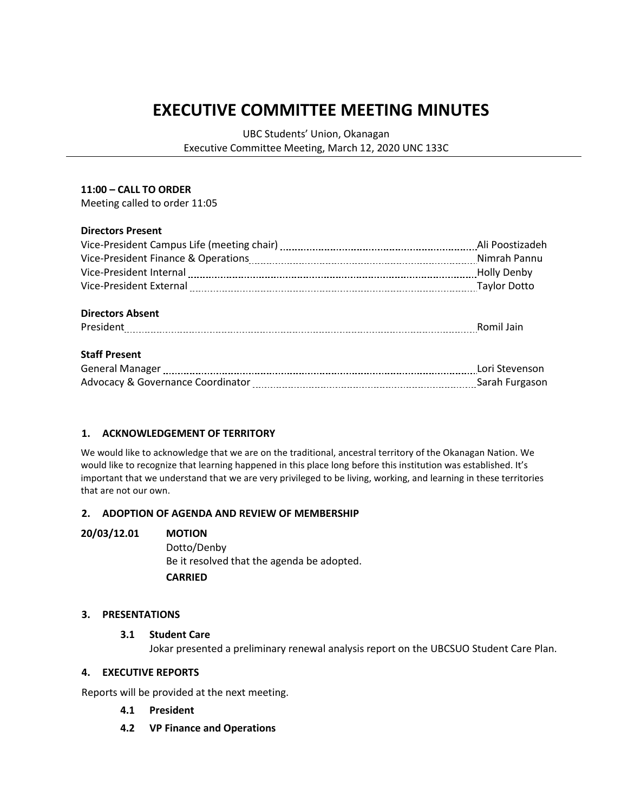# **EXECUTIVE COMMITTEE MEETING MINUTES**

UBC Students' Union, Okanagan Executive Committee Meeting, March 12, 2020 UNC 133C

## **11:00 – CALL TO ORDER**

Meeting called to order 11:05

## **Directors Present**

|                                                                                                                  | Ali Poostizadeh |
|------------------------------------------------------------------------------------------------------------------|-----------------|
|                                                                                                                  |                 |
| Vice-President Internal [111] North Marson and Muslim Marson Muslim Mully Denby                                  |                 |
| Vice-President External [111] Vice-President External [111] Vice-President External [11] Vice-President External |                 |
|                                                                                                                  |                 |
| <b>Directors Absent</b>                                                                                          |                 |
| President Romil Jain                                                                                             |                 |
|                                                                                                                  |                 |
| <b>Staff Present</b>                                                                                             |                 |
|                                                                                                                  | Lori Stevenson  |
|                                                                                                                  | Sarah Furgason  |

## **1. ACKNOWLEDGEMENT OF TERRITORY**

We would like to acknowledge that we are on the traditional, ancestral territory of the Okanagan Nation. We would like to recognize that learning happened in this place long before this institution was established. It's important that we understand that we are very privileged to be living, working, and learning in these territories that are not our own.

## **2. ADOPTION OF AGENDA AND REVIEW OF MEMBERSHIP**

#### **20/03/12.01 MOTION**

Dotto/Denby Be it resolved that the agenda be adopted. **CARRIED**

#### **3. PRESENTATIONS**

#### **3.1 Student Care**

Jokar presented a preliminary renewal analysis report on the UBCSUO Student Care Plan.

## **4. EXECUTIVE REPORTS**

Reports will be provided at the next meeting.

- **4.1 President**
- **4.2 VP Finance and Operations**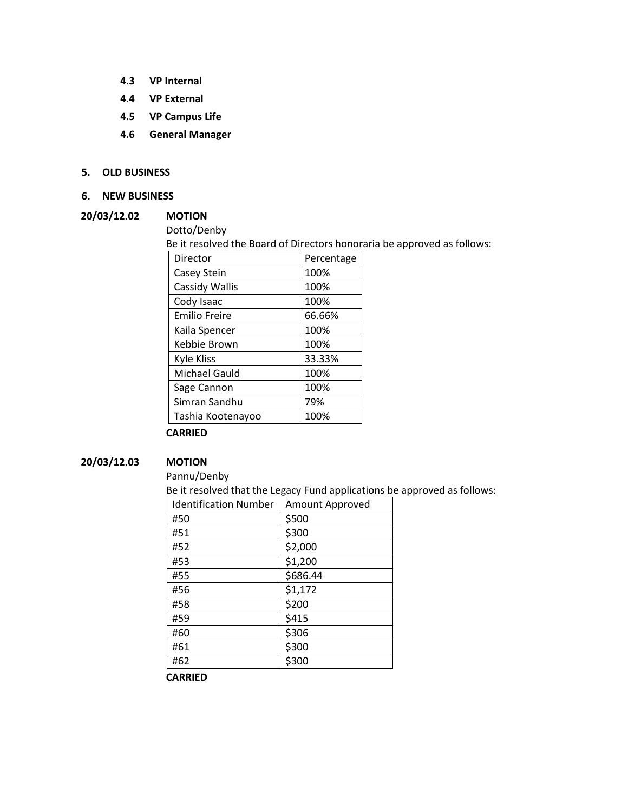- **4.3 VP Internal**
- **4.4 VP External**
- **4.5 VP Campus Life**
- **4.6 General Manager**

## **5. OLD BUSINESS**

**6. NEW BUSINESS**

#### **20/03/12.02 MOTION**

Dotto/Denby

Be it resolved the Board of Directors honoraria be approved as follows:

| Director             | Percentage |
|----------------------|------------|
| Casey Stein          | 100%       |
| Cassidy Wallis       | 100%       |
| Cody Isaac           | 100%       |
| <b>Emilio Freire</b> | 66.66%     |
| Kaila Spencer        | 100%       |
| Kebbie Brown         | 100%       |
| <b>Kyle Kliss</b>    | 33.33%     |
| <b>Michael Gauld</b> | 100%       |
| Sage Cannon          | 100%       |
| Simran Sandhu        | 79%        |
| Tashia Kootenayoo    | 100%       |

#### **CARRIED**

# **20/03/12.03 MOTION**

Pannu/Denby

Be it resolved that the Legacy Fund applications be approved as follows:

| <b>Identification Number</b> | Amount Approved |
|------------------------------|-----------------|
| #50                          | \$500           |
| #51                          | \$300           |
| #52                          | \$2,000         |
| #53                          | \$1,200         |
| #55                          | \$686.44        |
| #56                          | \$1,172         |
| #58                          | \$200           |
| #59                          | \$415           |
| #60                          | \$306           |
| #61                          | \$300           |
| #62                          | \$300           |

**CARRIED**